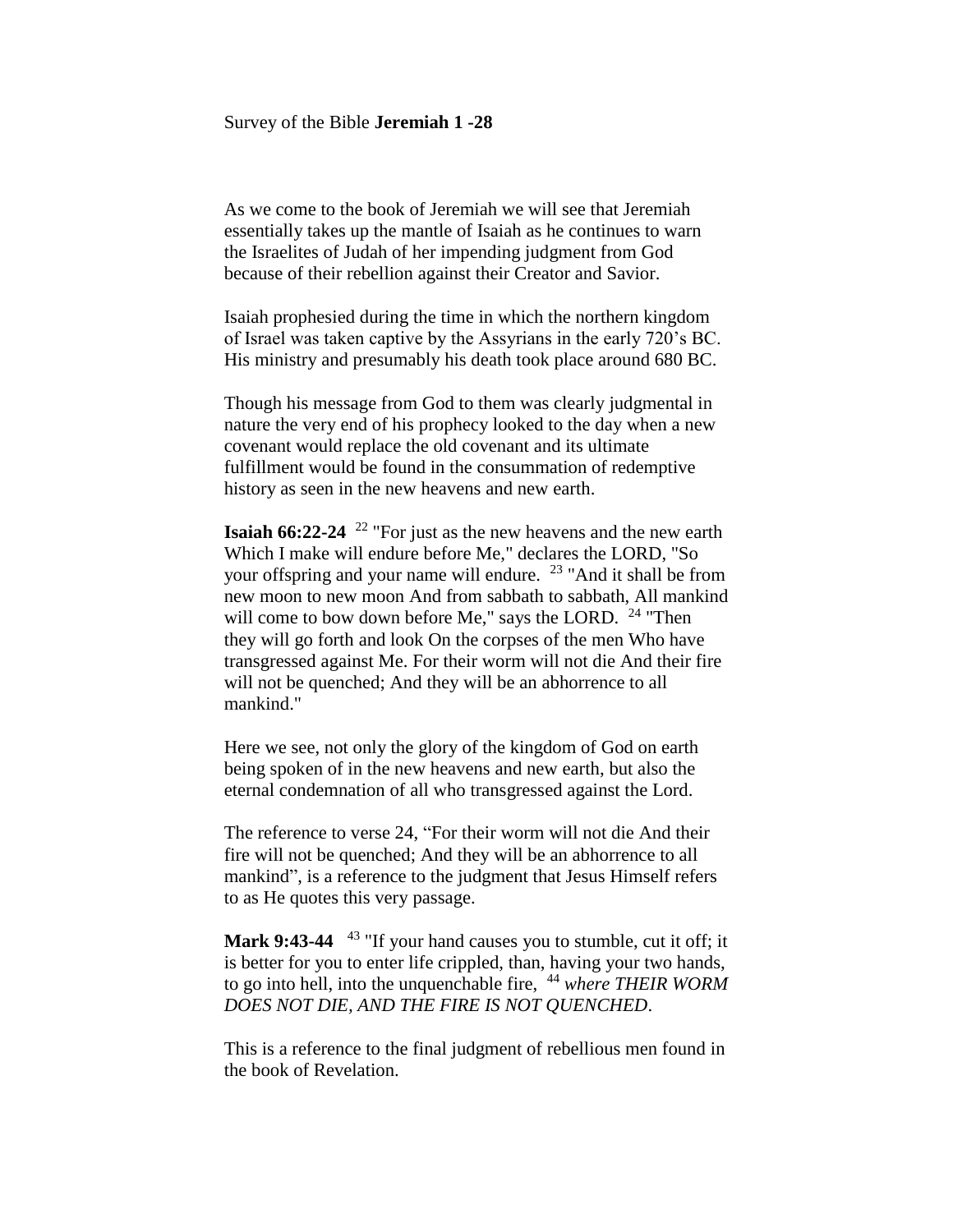#### Survey of the Bible **Jeremiah 1 -28**

As we come to the book of Jeremiah we will see that Jeremiah essentially takes up the mantle of Isaiah as he continues to warn the Israelites of Judah of her impending judgment from God because of their rebellion against their Creator and Savior.

Isaiah prophesied during the time in which the northern kingdom of Israel was taken captive by the Assyrians in the early 720's BC. His ministry and presumably his death took place around 680 BC.

Though his message from God to them was clearly judgmental in nature the very end of his prophecy looked to the day when a new covenant would replace the old covenant and its ultimate fulfillment would be found in the consummation of redemptive history as seen in the new heavens and new earth.

**Isaiah 66:22-24** <sup>22</sup> "For just as the new heavens and the new earth Which I make will endure before Me," declares the LORD, "So your offspring and your name will endure. <sup>23</sup> "And it shall be from new moon to new moon And from sabbath to sabbath, All mankind will come to bow down before Me," says the LORD.  $24$  "Then they will go forth and look On the corpses of the men Who have transgressed against Me. For their worm will not die And their fire will not be quenched; And they will be an abhorrence to all mankind."

Here we see, not only the glory of the kingdom of God on earth being spoken of in the new heavens and new earth, but also the eternal condemnation of all who transgressed against the Lord.

The reference to verse 24, "For their worm will not die And their fire will not be quenched; And they will be an abhorrence to all mankind", is a reference to the judgment that Jesus Himself refers to as He quotes this very passage.

**Mark 9:43-44** <sup>43</sup> "If your hand causes you to stumble, cut it off; it is better for you to enter life crippled, than, having your two hands, to go into hell, into the unquenchable fire, <sup>44</sup> *where THEIR WORM DOES NOT DIE, AND THE FIRE IS NOT QUENCHED*.

This is a reference to the final judgment of rebellious men found in the book of Revelation.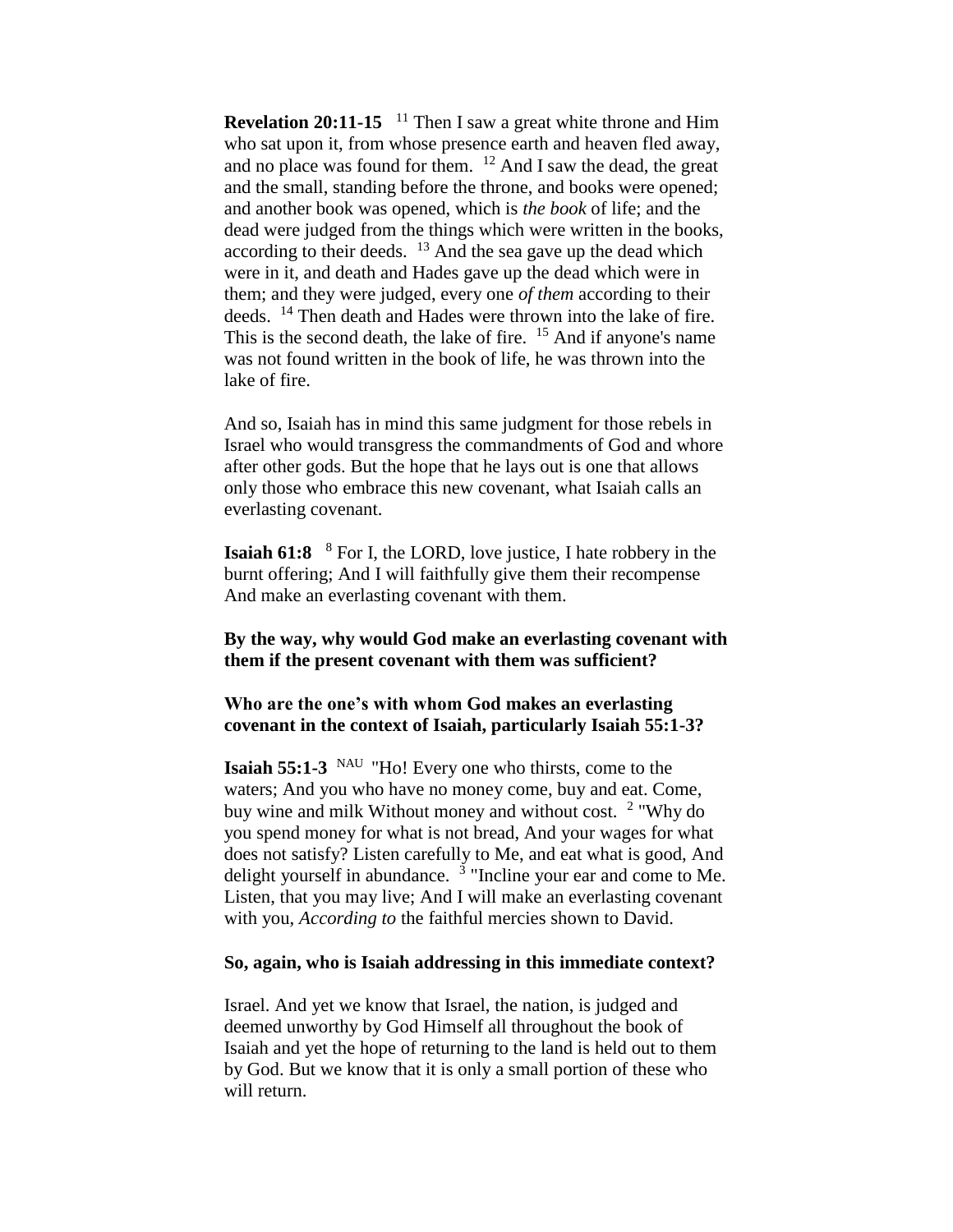**Revelation 20:11-15** <sup>11</sup> Then I saw a great white throne and Him who sat upon it, from whose presence earth and heaven fled away, and no place was found for them.  $12$  And I saw the dead, the great and the small, standing before the throne, and books were opened; and another book was opened, which is *the book* of life; and the dead were judged from the things which were written in the books, according to their deeds.  $13$  And the sea gave up the dead which were in it, and death and Hades gave up the dead which were in them; and they were judged, every one *of them* according to their deeds. <sup>14</sup> Then death and Hades were thrown into the lake of fire. This is the second death, the lake of fire. <sup>15</sup> And if anyone's name was not found written in the book of life, he was thrown into the lake of fire.

And so, Isaiah has in mind this same judgment for those rebels in Israel who would transgress the commandments of God and whore after other gods. But the hope that he lays out is one that allows only those who embrace this new covenant, what Isaiah calls an everlasting covenant.

**Isaiah 61:8** <sup>8</sup> For I, the LORD, love justice, I hate robbery in the burnt offering; And I will faithfully give them their recompense And make an everlasting covenant with them.

# **By the way, why would God make an everlasting covenant with them if the present covenant with them was sufficient?**

# **Who are the one's with whom God makes an everlasting covenant in the context of Isaiah, particularly Isaiah 55:1-3?**

**Isaiah 55:1-3** NAU "Ho! Every one who thirsts, come to the waters; And you who have no money come, buy and eat. Come, buy wine and milk Without money and without cost. <sup>2</sup> "Why do you spend money for what is not bread, And your wages for what does not satisfy? Listen carefully to Me, and eat what is good, And delight yourself in abundance.  $3$  "Incline your ear and come to Me. Listen, that you may live; And I will make an everlasting covenant with you, *According to* the faithful mercies shown to David.

#### **So, again, who is Isaiah addressing in this immediate context?**

Israel. And yet we know that Israel, the nation, is judged and deemed unworthy by God Himself all throughout the book of Isaiah and yet the hope of returning to the land is held out to them by God. But we know that it is only a small portion of these who will return.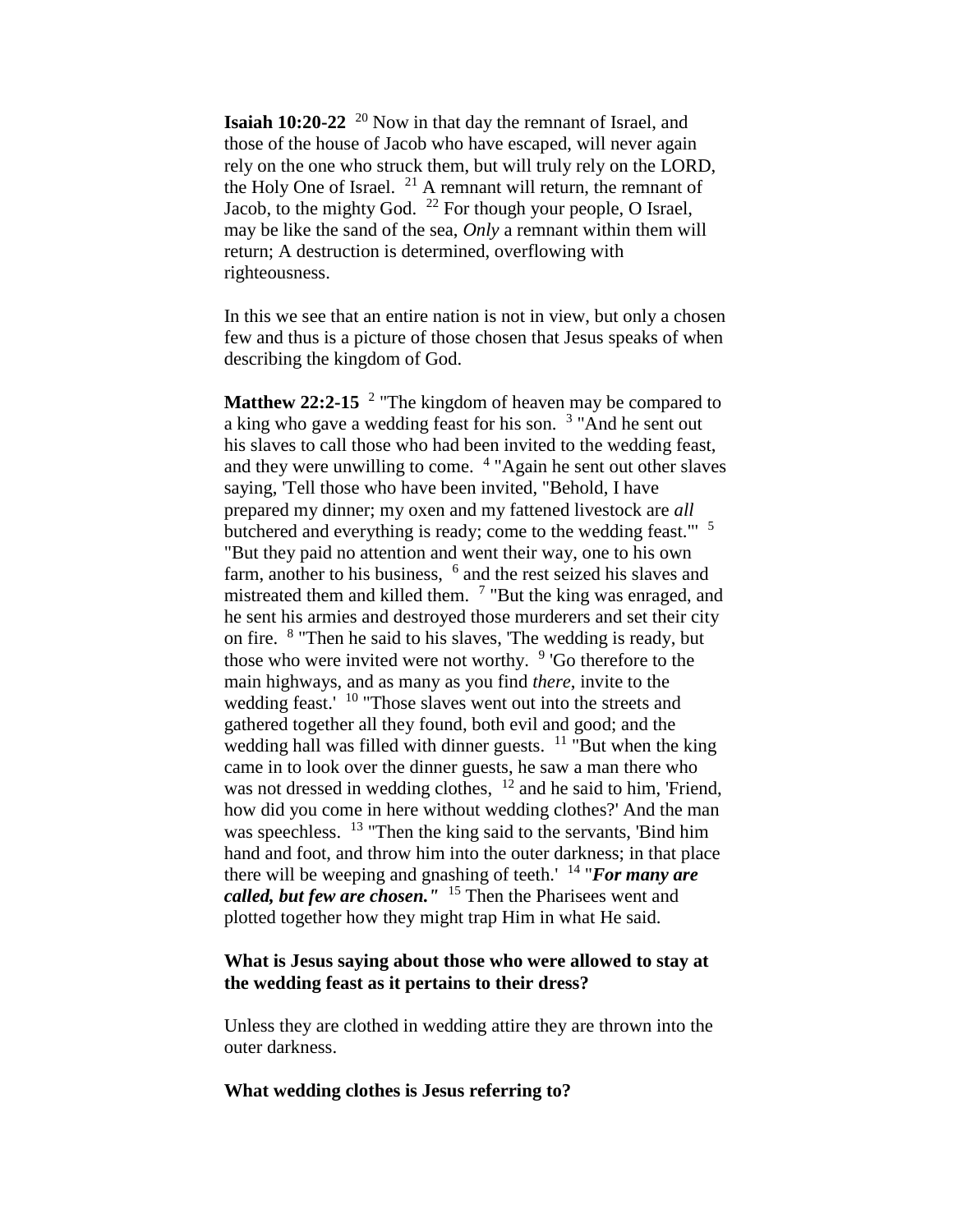**Isaiah 10:20-22** <sup>20</sup> Now in that day the remnant of Israel, and those of the house of Jacob who have escaped, will never again rely on the one who struck them, but will truly rely on the LORD, the Holy One of Israel.  $21$  A remnant will return, the remnant of Jacob, to the mighty God.  $^{22}$  For though your people, O Israel, may be like the sand of the sea, *Only* a remnant within them will return; A destruction is determined, overflowing with righteousness.

In this we see that an entire nation is not in view, but only a chosen few and thus is a picture of those chosen that Jesus speaks of when describing the kingdom of God.

**Matthew 22:2-15** <sup>2</sup> "The kingdom of heaven may be compared to a king who gave a wedding feast for his son.<sup>3</sup> "And he sent out his slaves to call those who had been invited to the wedding feast, and they were unwilling to come. <sup>4</sup> "Again he sent out other slaves saying, 'Tell those who have been invited, "Behold, I have prepared my dinner; my oxen and my fattened livestock are *all*  butchered and everything is ready; come to the wedding feast."' <sup>5</sup> "But they paid no attention and went their way, one to his own farm, another to his business, <sup>6</sup> and the rest seized his slaves and mistreated them and killed them. <sup>7</sup> "But the king was enraged, and he sent his armies and destroyed those murderers and set their city on fire. <sup>8</sup> "Then he said to his slaves, 'The wedding is ready, but those who were invited were not worthy. <sup>9</sup> 'Go therefore to the main highways, and as many as you find *there*, invite to the wedding feast.' <sup>10</sup> "Those slaves went out into the streets and gathered together all they found, both evil and good; and the wedding hall was filled with dinner guests.  $11$  "But when the king" came in to look over the dinner guests, he saw a man there who was not dressed in wedding clothes,  $12$  and he said to him, 'Friend, how did you come in here without wedding clothes?' And the man was speechless. <sup>13</sup> "Then the king said to the servants, 'Bind him hand and foot, and throw him into the outer darkness; in that place there will be weeping and gnashing of teeth.' <sup>14</sup> "*For many are called, but few are chosen."* <sup>15</sup> Then the Pharisees went and plotted together how they might trap Him in what He said.

# **What is Jesus saying about those who were allowed to stay at the wedding feast as it pertains to their dress?**

Unless they are clothed in wedding attire they are thrown into the outer darkness.

# **What wedding clothes is Jesus referring to?**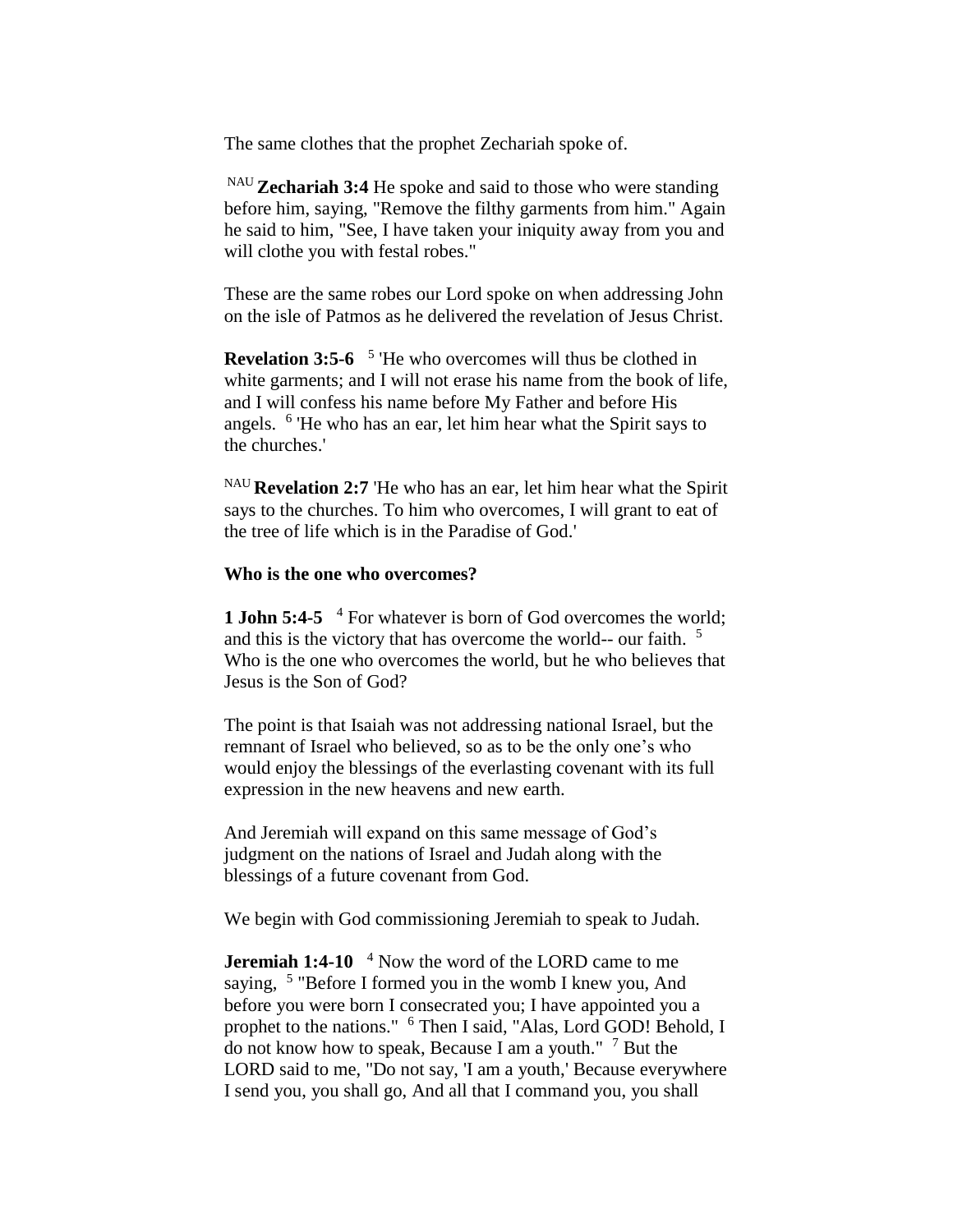The same clothes that the prophet Zechariah spoke of.

NAU **Zechariah 3:4** He spoke and said to those who were standing before him, saying, "Remove the filthy garments from him." Again he said to him, "See, I have taken your iniquity away from you and will clothe you with festal robes."

These are the same robes our Lord spoke on when addressing John on the isle of Patmos as he delivered the revelation of Jesus Christ.

**Revelation 3:5-6** <sup>5</sup> 'He who overcomes will thus be clothed in white garments; and I will not erase his name from the book of life, and I will confess his name before My Father and before His angels. <sup>6</sup> 'He who has an ear, let him hear what the Spirit says to the churches.'

NAU **Revelation 2:7** 'He who has an ear, let him hear what the Spirit says to the churches. To him who overcomes, I will grant to eat of the tree of life which is in the Paradise of God.'

#### **Who is the one who overcomes?**

**1 John 5:4-5** <sup>4</sup> For whatever is born of God overcomes the world; and this is the victory that has overcome the world-- our faith.<sup>5</sup> Who is the one who overcomes the world, but he who believes that Jesus is the Son of God?

The point is that Isaiah was not addressing national Israel, but the remnant of Israel who believed, so as to be the only one's who would enjoy the blessings of the everlasting covenant with its full expression in the new heavens and new earth.

And Jeremiah will expand on this same message of God's judgment on the nations of Israel and Judah along with the blessings of a future covenant from God.

We begin with God commissioning Jeremiah to speak to Judah.

**Jeremiah 1:4-10**  <sup>4</sup> Now the word of the LORD came to me saying, <sup>5</sup> "Before I formed you in the womb I knew you, And before you were born I consecrated you; I have appointed you a prophet to the nations." <sup>6</sup> Then I said, "Alas, Lord GOD! Behold, I do not know how to speak, Because I am a youth." <sup>7</sup> But the LORD said to me, "Do not say, 'I am a youth,' Because everywhere I send you, you shall go, And all that I command you, you shall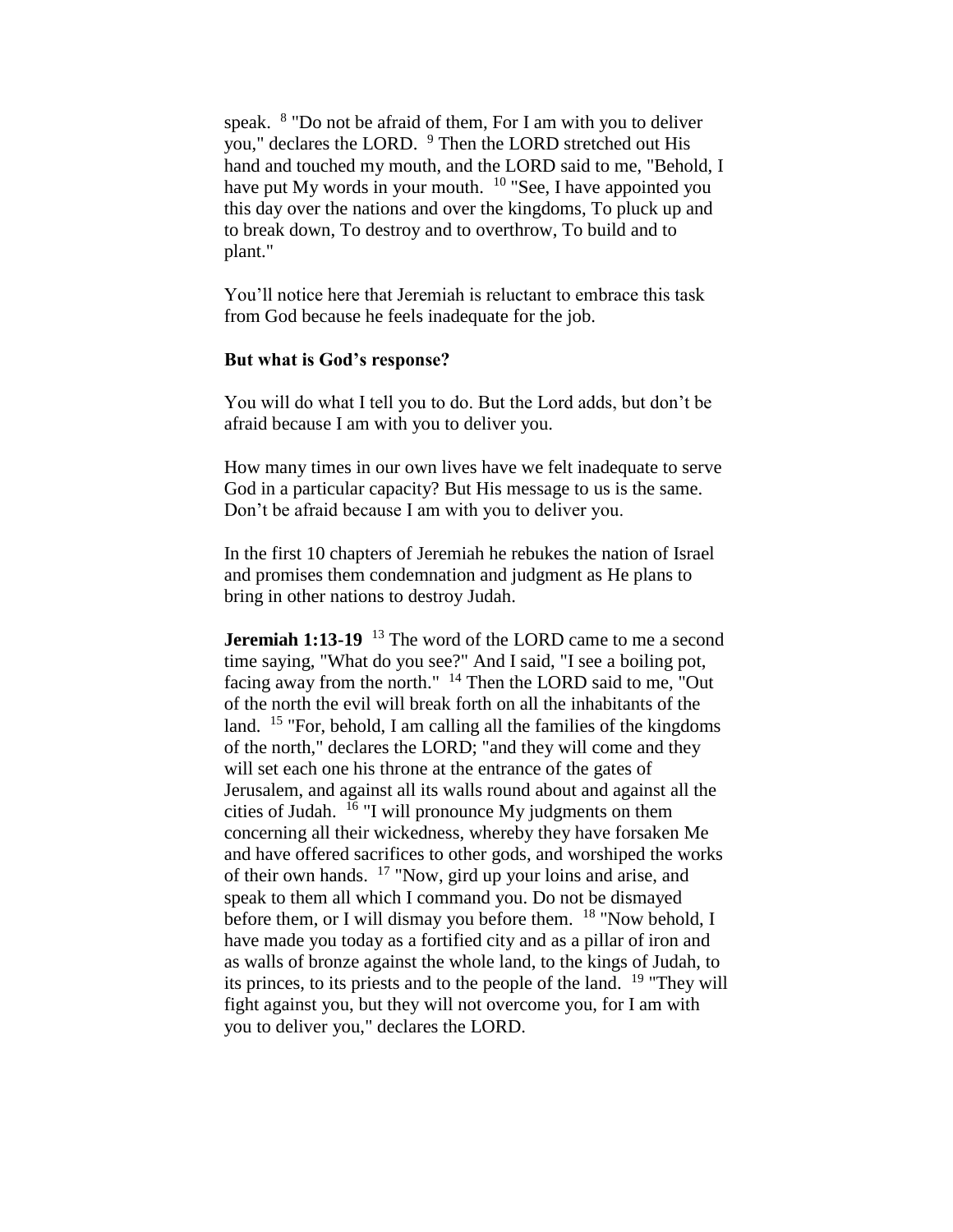speak. <sup>8</sup> "Do not be afraid of them, For I am with you to deliver you," declares the LORD. <sup>9</sup> Then the LORD stretched out His hand and touched my mouth, and the LORD said to me, "Behold, I have put My words in your mouth.  $10^{\circ}$  See, I have appointed you this day over the nations and over the kingdoms, To pluck up and to break down, To destroy and to overthrow, To build and to plant."

You'll notice here that Jeremiah is reluctant to embrace this task from God because he feels inadequate for the job.

#### **But what is God's response?**

You will do what I tell you to do. But the Lord adds, but don't be afraid because I am with you to deliver you.

How many times in our own lives have we felt inadequate to serve God in a particular capacity? But His message to us is the same. Don't be afraid because I am with you to deliver you.

In the first 10 chapters of Jeremiah he rebukes the nation of Israel and promises them condemnation and judgment as He plans to bring in other nations to destroy Judah.

**Jeremiah 1:13-19** <sup>13</sup> The word of the LORD came to me a second time saying, "What do you see?" And I said, "I see a boiling pot, facing away from the north." <sup>14</sup> Then the LORD said to me, "Out of the north the evil will break forth on all the inhabitants of the land. <sup>15</sup> "For, behold, I am calling all the families of the kingdoms of the north," declares the LORD; "and they will come and they will set each one his throne at the entrance of the gates of Jerusalem, and against all its walls round about and against all the cities of Judah. <sup>16</sup> "I will pronounce My judgments on them concerning all their wickedness, whereby they have forsaken Me and have offered sacrifices to other gods, and worshiped the works of their own hands. <sup>17</sup> "Now, gird up your loins and arise, and speak to them all which I command you. Do not be dismayed before them, or I will dismay you before them.  $18$  "Now behold, I have made you today as a fortified city and as a pillar of iron and as walls of bronze against the whole land, to the kings of Judah, to its princes, to its priests and to the people of the land. <sup>19</sup> "They will fight against you, but they will not overcome you, for I am with you to deliver you," declares the LORD.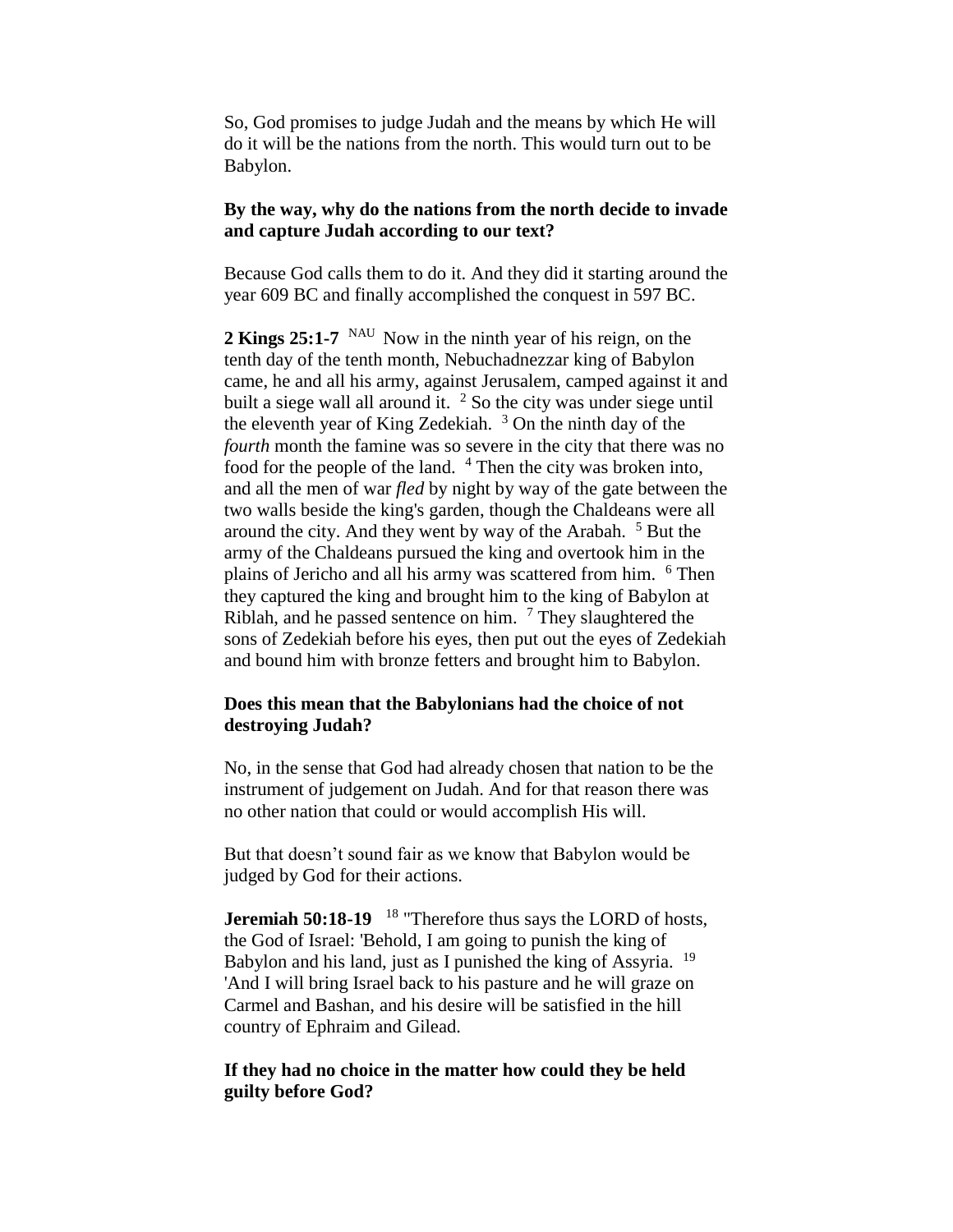So, God promises to judge Judah and the means by which He will do it will be the nations from the north. This would turn out to be Babylon.

### **By the way, why do the nations from the north decide to invade and capture Judah according to our text?**

Because God calls them to do it. And they did it starting around the year 609 BC and finally accomplished the conquest in 597 BC.

2 **Kings 25:1-7** <sup>NAU</sup> Now in the ninth year of his reign, on the tenth day of the tenth month, Nebuchadnezzar king of Babylon came, he and all his army, against Jerusalem, camped against it and built a siege wall all around it. <sup>2</sup> So the city was under siege until the eleventh year of King Zedekiah.  $3$  On the ninth day of the *fourth* month the famine was so severe in the city that there was no food for the people of the land. <sup>4</sup> Then the city was broken into, and all the men of war *fled* by night by way of the gate between the two walls beside the king's garden, though the Chaldeans were all around the city. And they went by way of the Arabah.  $5$  But the army of the Chaldeans pursued the king and overtook him in the plains of Jericho and all his army was scattered from him. <sup>6</sup> Then they captured the king and brought him to the king of Babylon at Riblah, and he passed sentence on him.  $<sup>7</sup>$  They slaughtered the</sup> sons of Zedekiah before his eyes, then put out the eyes of Zedekiah and bound him with bronze fetters and brought him to Babylon.

# **Does this mean that the Babylonians had the choice of not destroying Judah?**

No, in the sense that God had already chosen that nation to be the instrument of judgement on Judah. And for that reason there was no other nation that could or would accomplish His will.

But that doesn't sound fair as we know that Babylon would be judged by God for their actions.

**Jeremiah 50:18-19**  <sup>18</sup> "Therefore thus says the LORD of hosts, the God of Israel: 'Behold, I am going to punish the king of Babylon and his land, just as I punished the king of Assyria. <sup>19</sup> 'And I will bring Israel back to his pasture and he will graze on Carmel and Bashan, and his desire will be satisfied in the hill country of Ephraim and Gilead.

# **If they had no choice in the matter how could they be held guilty before God?**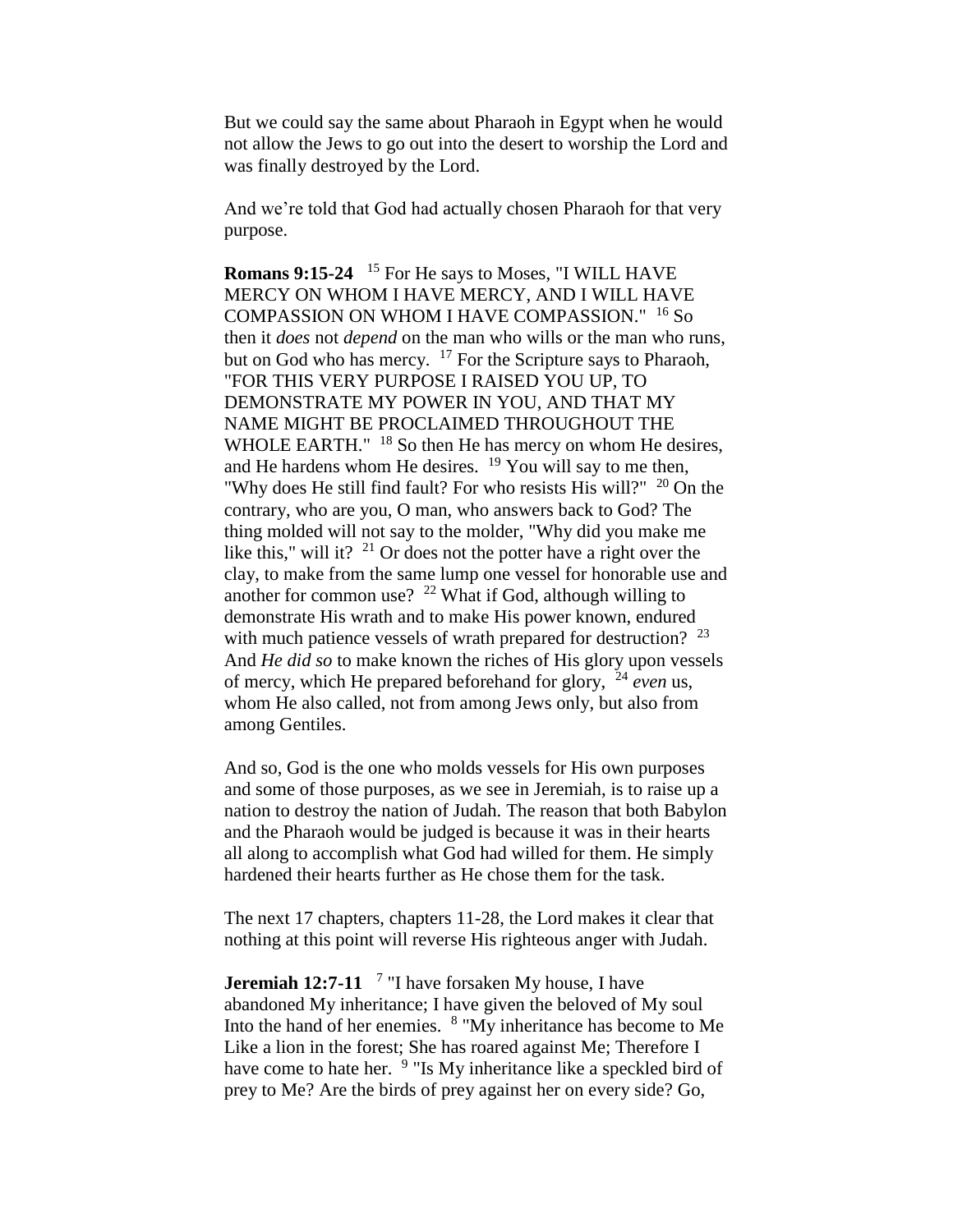But we could say the same about Pharaoh in Egypt when he would not allow the Jews to go out into the desert to worship the Lord and was finally destroyed by the Lord.

And we're told that God had actually chosen Pharaoh for that very purpose.

**Romans 9:15-24**  <sup>15</sup> For He says to Moses, "I WILL HAVE MERCY ON WHOM I HAVE MERCY, AND I WILL HAVE COMPASSION ON WHOM I HAVE COMPASSION." <sup>16</sup> So then it *does* not *depend* on the man who wills or the man who runs, but on God who has mercy.  $17$  For the Scripture says to Pharaoh, "FOR THIS VERY PURPOSE I RAISED YOU UP, TO DEMONSTRATE MY POWER IN YOU, AND THAT MY NAME MIGHT BE PROCLAIMED THROUGHOUT THE WHOLE EARTH."  $18$  So then He has mercy on whom He desires, and He hardens whom He desires.  $19$  You will say to me then, "Why does He still find fault? For who resists His will?" <sup>20</sup> On the contrary, who are you, O man, who answers back to God? The thing molded will not say to the molder, "Why did you make me like this," will it?  $2^{1}$  Or does not the potter have a right over the clay, to make from the same lump one vessel for honorable use and another for common use?  $22$  What if God, although willing to demonstrate His wrath and to make His power known, endured with much patience vessels of wrath prepared for destruction?  $2^3$ And *He did so* to make known the riches of His glory upon vessels of mercy, which He prepared beforehand for glory, <sup>24</sup> *even* us, whom He also called, not from among Jews only, but also from among Gentiles.

And so, God is the one who molds vessels for His own purposes and some of those purposes, as we see in Jeremiah, is to raise up a nation to destroy the nation of Judah. The reason that both Babylon and the Pharaoh would be judged is because it was in their hearts all along to accomplish what God had willed for them. He simply hardened their hearts further as He chose them for the task.

The next 17 chapters, chapters 11-28, the Lord makes it clear that nothing at this point will reverse His righteous anger with Judah.

**Jeremiah 12:7-11** <sup>7</sup> "I have forsaken My house, I have abandoned My inheritance; I have given the beloved of My soul Into the hand of her enemies. <sup>8</sup> "My inheritance has become to Me Like a lion in the forest; She has roared against Me; Therefore I have come to hate her. <sup>9</sup> "Is My inheritance like a speckled bird of prey to Me? Are the birds of prey against her on every side? Go,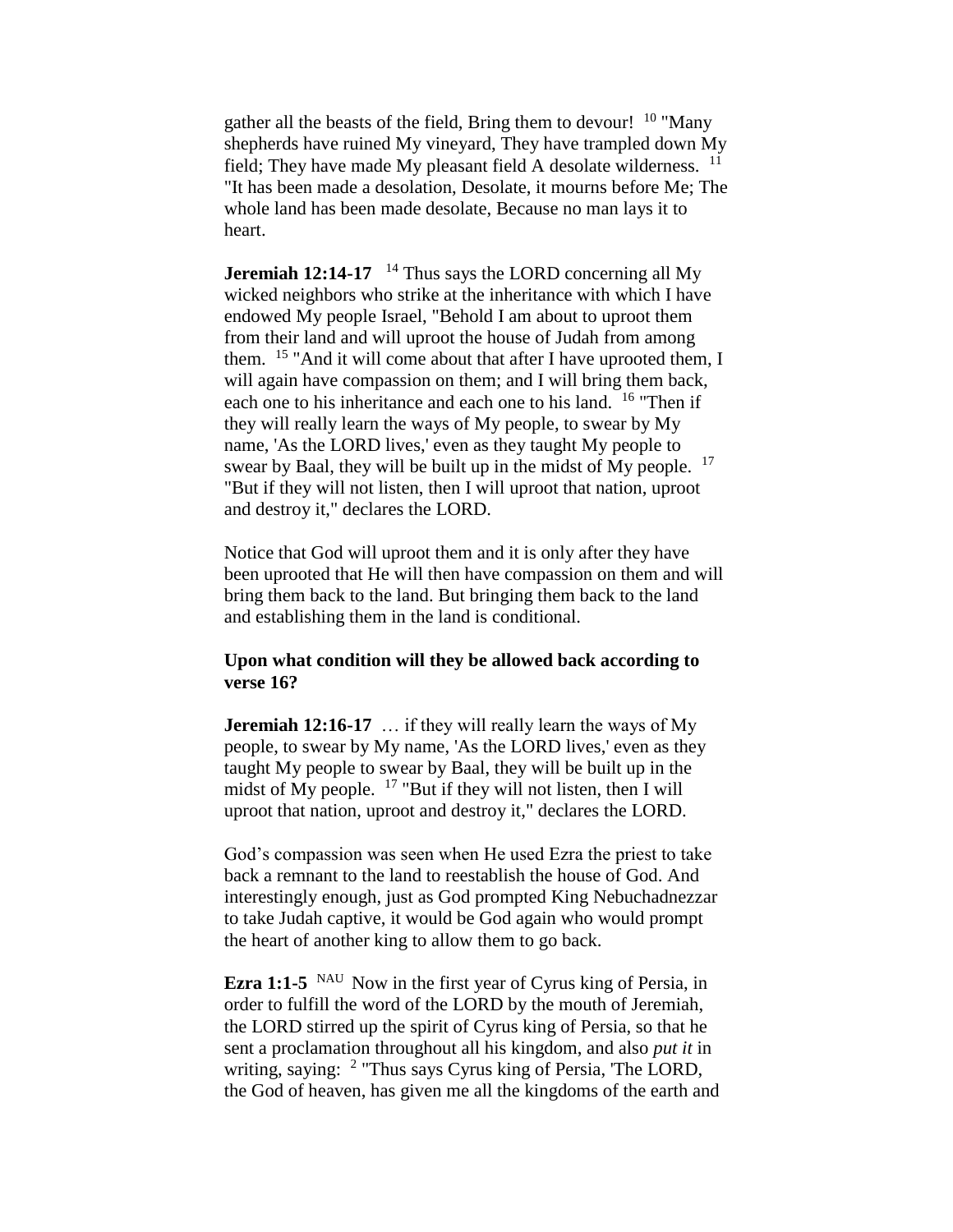gather all the beasts of the field, Bring them to devour!  $10$  "Many" shepherds have ruined My vineyard, They have trampled down My field; They have made My pleasant field A desolate wilderness.  $11$ "It has been made a desolation, Desolate, it mourns before Me; The whole land has been made desolate, Because no man lays it to heart.

**Jeremiah 12:14-17** <sup>14</sup> Thus says the LORD concerning all My wicked neighbors who strike at the inheritance with which I have endowed My people Israel, "Behold I am about to uproot them from their land and will uproot the house of Judah from among them. <sup>15</sup> "And it will come about that after I have uprooted them, I will again have compassion on them; and I will bring them back, each one to his inheritance and each one to his land. <sup>16</sup> "Then if they will really learn the ways of My people, to swear by My name, 'As the LORD lives,' even as they taught My people to swear by Baal, they will be built up in the midst of My people. <sup>17</sup> "But if they will not listen, then I will uproot that nation, uproot and destroy it," declares the LORD.

Notice that God will uproot them and it is only after they have been uprooted that He will then have compassion on them and will bring them back to the land. But bringing them back to the land and establishing them in the land is conditional.

### **Upon what condition will they be allowed back according to verse 16?**

**Jeremiah 12:16-17** ... if they will really learn the ways of My people, to swear by My name, 'As the LORD lives,' even as they taught My people to swear by Baal, they will be built up in the midst of My people.  $17$  "But if they will not listen, then I will uproot that nation, uproot and destroy it," declares the LORD.

God's compassion was seen when He used Ezra the priest to take back a remnant to the land to reestablish the house of God. And interestingly enough, just as God prompted King Nebuchadnezzar to take Judah captive, it would be God again who would prompt the heart of another king to allow them to go back.

**Ezra 1:1-5** <sup>NAU</sup> Now in the first year of Cyrus king of Persia, in order to fulfill the word of the LORD by the mouth of Jeremiah, the LORD stirred up the spirit of Cyrus king of Persia, so that he sent a proclamation throughout all his kingdom, and also *put it* in writing, saying: <sup>2</sup> "Thus says Cyrus king of Persia, 'The LORD, the God of heaven, has given me all the kingdoms of the earth and